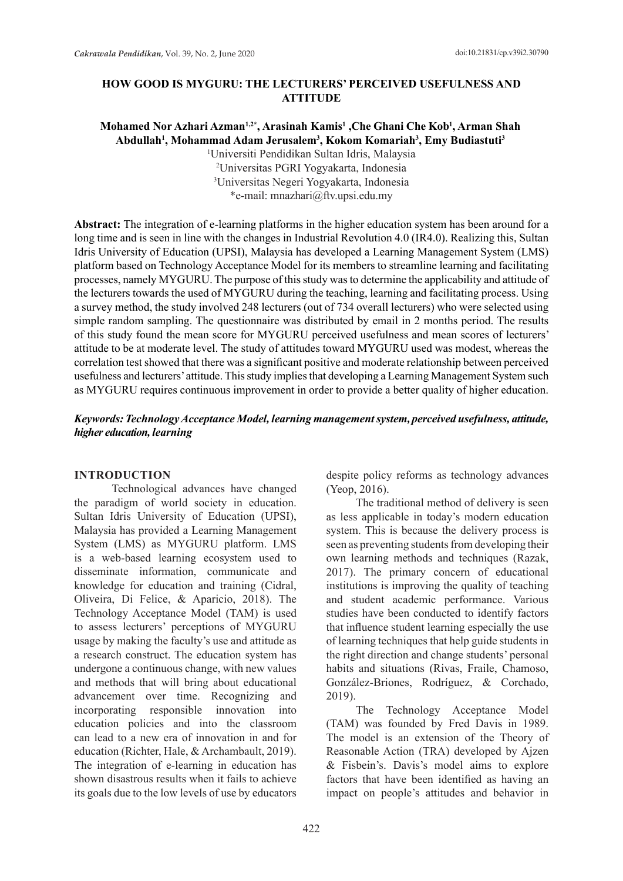### **HOW GOOD IS MYGURU: THE LECTURERS' PERCEIVED USEFULNESS AND ATTITUDE**

# **Mohamed Nor Azhari Azman1,2\*, Arasinah Kamis1 ,Che Ghani Che Kob1 , Arman Shah Abdullah1 , Mohammad Adam Jerusalem3 , Kokom Komariah3 , Emy Budiastuti3** 1 Universiti Pendidikan Sultan Idris, Malaysia 2 Universitas PGRI Yogyakarta, Indonesia

3 Universitas Negeri Yogyakarta, Indonesia \*e-mail: mnazhari@ftv.upsi.edu.my

**Abstract:** The integration of e-learning platforms in the higher education system has been around for a long time and is seen in line with the changes in Industrial Revolution 4.0 (IR4.0). Realizing this, Sultan Idris University of Education (UPSI), Malaysia has developed a Learning Management System (LMS) platform based on Technology Acceptance Model for its members to streamline learning and facilitating processes, namely MYGURU. The purpose of this study was to determine the applicability and attitude of the lecturers towards the used of MYGURU during the teaching, learning and facilitating process. Using a survey method, the study involved 248 lecturers (out of 734 overall lecturers) who were selected using simple random sampling. The questionnaire was distributed by email in 2 months period. The results of this study found the mean score for MYGURU perceived usefulness and mean scores of lecturers' attitude to be at moderate level. The study of attitudes toward MYGURU used was modest, whereas the correlation test showed that there was a significant positive and moderate relationship between perceived usefulness and lecturers' attitude. This study implies that developing a Learning Management System such as MYGURU requires continuous improvement in order to provide a better quality of higher education.

### *Keywords: Technology Acceptance Model, learning management system, perceived usefulness, attitude, higher education, learning*

#### **INTRODUCTION**

Technological advances have changed the paradigm of world society in education. Sultan Idris University of Education (UPSI), Malaysia has provided a Learning Management System (LMS) as MYGURU platform. LMS is a web-based learning ecosystem used to disseminate information, communicate and knowledge for education and training (Cidral, Oliveira, Di Felice, & Aparicio, 2018). The Technology Acceptance Model (TAM) is used to assess lecturers' perceptions of MYGURU usage by making the faculty's use and attitude as a research construct. The education system has undergone a continuous change, with new values and methods that will bring about educational advancement over time. Recognizing and incorporating responsible innovation into education policies and into the classroom can lead to a new era of innovation in and for education (Richter, Hale, & Archambault, 2019). The integration of e-learning in education has shown disastrous results when it fails to achieve its goals due to the low levels of use by educators despite policy reforms as technology advances (Yeop, 2016).

The traditional method of delivery is seen as less applicable in today's modern education system. This is because the delivery process is seen as preventing students from developing their own learning methods and techniques (Razak, 2017). The primary concern of educational institutions is improving the quality of teaching and student academic performance. Various studies have been conducted to identify factors that influence student learning especially the use of learning techniques that help guide students in the right direction and change students' personal habits and situations (Rivas, Fraile, Chamoso, González-Briones, Rodríguez, & Corchado, 2019).

The Technology Acceptance Model (TAM) was founded by Fred Davis in 1989. The model is an extension of the Theory of Reasonable Action (TRA) developed by Ajzen & Fisbein's. Davis's model aims to explore factors that have been identified as having an impact on people's attitudes and behavior in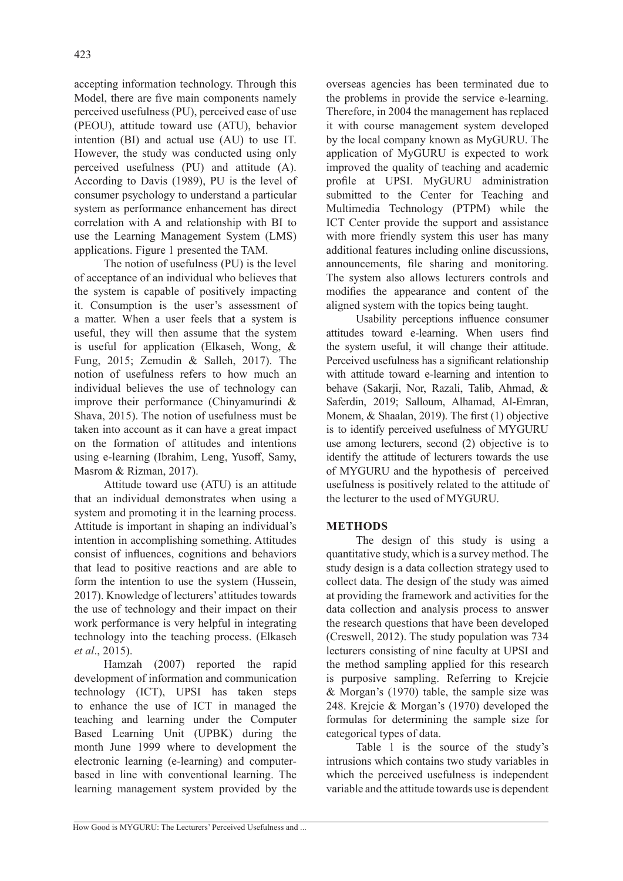accepting information technology. Through this Model, there are five main components namely perceived usefulness (PU), perceived ease of use (PEOU), attitude toward use (ATU), behavior intention (BI) and actual use (AU) to use IT. However, the study was conducted using only perceived usefulness (PU) and attitude (A). According to Davis (1989), PU is the level of consumer psychology to understand a particular system as performance enhancement has direct correlation with A and relationship with BI to use the Learning Management System (LMS) applications. Figure 1 presented the TAM.

The notion of usefulness (PU) is the level of acceptance of an individual who believes that the system is capable of positively impacting it. Consumption is the user's assessment of a matter. When a user feels that a system is useful, they will then assume that the system is useful for application (Elkaseh, Wong, & Fung, 2015; Zemudin & Salleh, 2017). The notion of usefulness refers to how much an individual believes the use of technology can improve their performance (Chinyamurindi & Shava, 2015). The notion of usefulness must be taken into account as it can have a great impact on the formation of attitudes and intentions using e-learning (Ibrahim, Leng, Yusoff, Samy, Masrom & Rizman, 2017).

Attitude toward use (ATU) is an attitude that an individual demonstrates when using a system and promoting it in the learning process. Attitude is important in shaping an individual's intention in accomplishing something. Attitudes consist of influences, cognitions and behaviors that lead to positive reactions and are able to form the intention to use the system (Hussein, 2017). Knowledge of lecturers' attitudes towards the use of technology and their impact on their work performance is very helpful in integrating technology into the teaching process. (Elkaseh *et al*., 2015).

Hamzah (2007) reported the rapid development of information and communication technology (ICT), UPSI has taken steps to enhance the use of ICT in managed the teaching and learning under the Computer Based Learning Unit (UPBK) during the month June 1999 where to development the electronic learning (e-learning) and computerbased in line with conventional learning. The learning management system provided by the

overseas agencies has been terminated due to the problems in provide the service e-learning. Therefore, in 2004 the management has replaced it with course management system developed by the local company known as MyGURU. The application of MyGURU is expected to work improved the quality of teaching and academic profile at UPSI. MyGURU administration submitted to the Center for Teaching and Multimedia Technology (PTPM) while the ICT Center provide the support and assistance with more friendly system this user has many additional features including online discussions, announcements, file sharing and monitoring. The system also allows lecturers controls and modifies the appearance and content of the aligned system with the topics being taught.

Usability perceptions influence consumer attitudes toward e-learning. When users find the system useful, it will change their attitude. Perceived usefulness has a significant relationship with attitude toward e-learning and intention to behave (Sakarji, Nor, Razali, Talib, Ahmad, & Saferdin, 2019; Salloum, Alhamad, Al-Emran, Monem, & Shaalan, 2019). The first (1) objective is to identify perceived usefulness of MYGURU use among lecturers, second (2) objective is to identify the attitude of lecturers towards the use of MYGURU and the hypothesis of perceived usefulness is positively related to the attitude of the lecturer to the used of MYGURU.

### **METHODS**

The design of this study is using a quantitative study, which is a survey method. The study design is a data collection strategy used to collect data. The design of the study was aimed at providing the framework and activities for the data collection and analysis process to answer the research questions that have been developed (Creswell, 2012). The study population was 734 lecturers consisting of nine faculty at UPSI and the method sampling applied for this research is purposive sampling. Referring to Krejcie & Morgan's (1970) table, the sample size was 248. Krejcie & Morgan's (1970) developed the formulas for determining the sample size for categorical types of data.

Table 1 is the source of the study's intrusions which contains two study variables in which the perceived usefulness is independent variable and the attitude towards use is dependent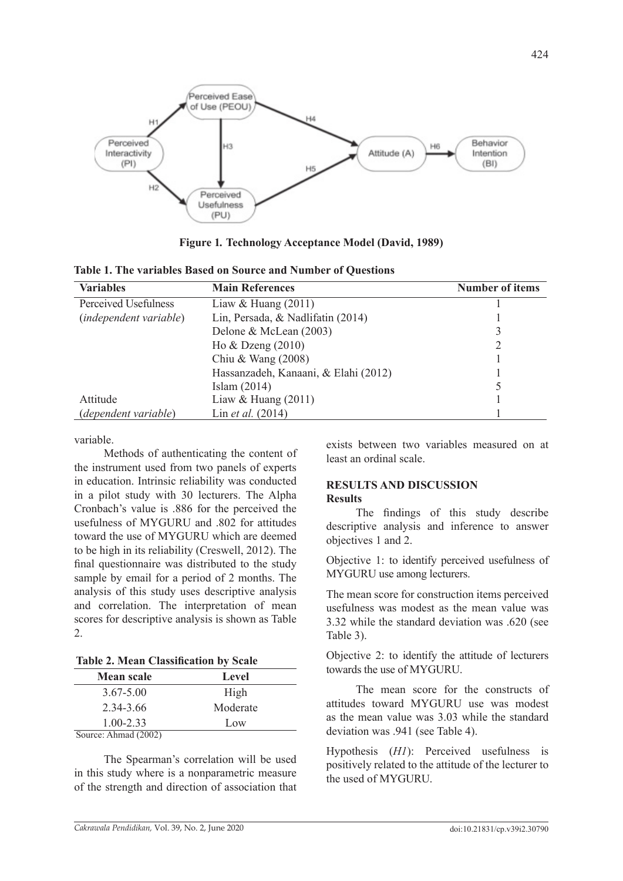

**Figure 1***.* **Technology Acceptance Model (David, 1989)**

|  | Table 1. The variables Based on Source and Number of Questions |  |  |  |  |
|--|----------------------------------------------------------------|--|--|--|--|
|--|----------------------------------------------------------------|--|--|--|--|

| <b>Variables</b>              | <b>Main References</b>               | <b>Number of items</b> |
|-------------------------------|--------------------------------------|------------------------|
| Perceived Usefulness          | Liaw & Huang $(2011)$                |                        |
| <i>(independent variable)</i> | Lin, Persada, & Nadlifatin (2014)    |                        |
|                               | Delone & McLean (2003)               |                        |
|                               | Ho $&$ Dzeng $(2010)$                |                        |
|                               | Chiu & Wang $(2008)$                 |                        |
|                               | Hassanzadeh, Kanaani, & Elahi (2012) |                        |
|                               | Islam $(2014)$                       |                        |
| Attitude                      | Liaw & Huang $(2011)$                |                        |
| <i>(dependent variable)</i>   | Lin et al. (2014)                    |                        |

variable.

Methods of authenticating the content of the instrument used from two panels of experts in education. Intrinsic reliability was conducted in a pilot study with 30 lecturers. The Alpha Cronbach's value is .886 for the perceived the usefulness of MYGURU and .802 for attitudes toward the use of MYGURU which are deemed to be high in its reliability (Creswell, 2012). The final questionnaire was distributed to the study sample by email for a period of 2 months. The analysis of this study uses descriptive analysis and correlation. The interpretation of mean scores for descriptive analysis is shown as Table 2.

**Table 2. Mean Classification by Scale**

| <b>Mean scale</b>    | Level    |
|----------------------|----------|
| $3.67 - 5.00$        | High     |
|                      |          |
| 2.34-3.66            | Moderate |
| $1.00 - 2.33$        | Low      |
| Source: Ahmad (2002) |          |

The Spearman's correlation will be used in this study where is a nonparametric measure of the strength and direction of association that exists between two variables measured on at least an ordinal scale.

### **RESULTS AND DISCUSSION Results**

The findings of this study describe descriptive analysis and inference to answer objectives 1 and 2.

Objective 1: to identify perceived usefulness of MYGURU use among lecturers.

The mean score for construction items perceived usefulness was modest as the mean value was 3.32 while the standard deviation was .620 (see Table 3).

Objective 2: to identify the attitude of lecturers towards the use of MYGURU.

The mean score for the constructs of attitudes toward MYGURU use was modest as the mean value was 3.03 while the standard deviation was .941 (see Table 4).

Hypothesis (*H1*): Perceived usefulness is positively related to the attitude of the lecturer to the used of MYGURU.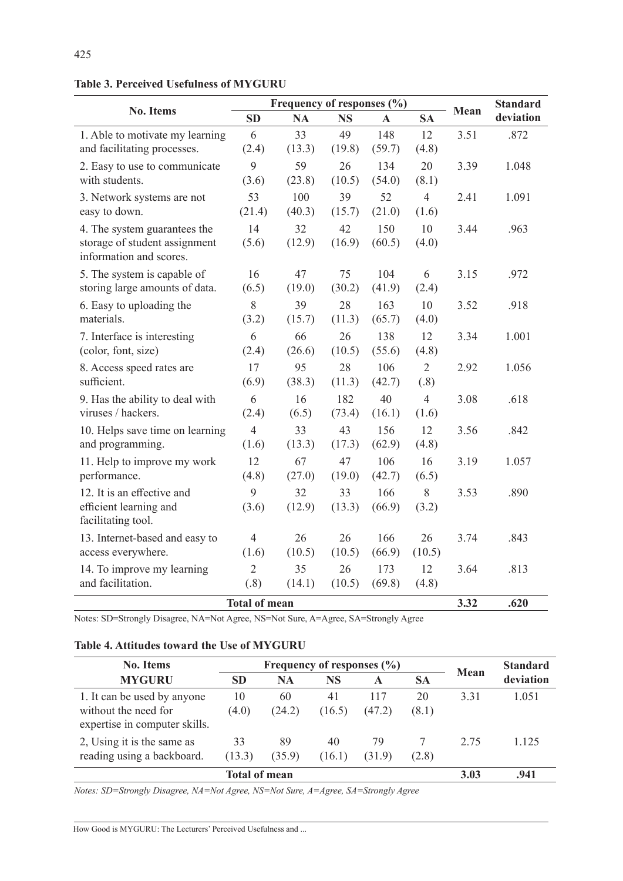**Table 3. Perceived Usefulness of MYGURU**

|                                                       |                | Frequency of responses (%) | Mean          | <b>Standard</b> |                        |      |           |
|-------------------------------------------------------|----------------|----------------------------|---------------|-----------------|------------------------|------|-----------|
| <b>No. Items</b>                                      | <b>SD</b>      | <b>NA</b>                  | <b>NS</b>     | $\mathbf{A}$    | <b>SA</b>              |      | deviation |
| 1. Able to motivate my learning                       | 6              | 33                         | 49            | 148             | 12                     | 3.51 | .872      |
| and facilitating processes.                           | (2.4)          | (13.3)                     | (19.8)        | (59.7)          | (4.8)                  |      |           |
| 2. Easy to use to communicate                         | 9              | 59                         | 26            | 134             | 20                     | 3.39 | 1.048     |
| with students.                                        | (3.6)          | (23.8)                     | (10.5)        | (54.0)          | (8.1)                  |      |           |
| 3. Network systems are not                            | 53             | 100                        | 39            | 52              | $\overline{4}$         | 2.41 | 1.091     |
| easy to down.                                         | (21.4)         | (40.3)                     | (15.7)        | (21.0)          | (1.6)                  |      |           |
| 4. The system guarantees the                          | 14             | 32                         | 42            | 150             | 10                     | 3.44 | .963      |
| storage of student assignment                         | (5.6)          | (12.9)                     | (16.9)        | (60.5)          | (4.0)                  |      |           |
| information and scores.                               |                |                            |               |                 |                        |      |           |
| 5. The system is capable of                           | 16             | 47                         | 75            | 104             | 6                      | 3.15 | .972      |
| storing large amounts of data.                        | (6.5)          | (19.0)                     | (30.2)        | (41.9)          | (2.4)                  |      |           |
| 6. Easy to uploading the<br>materials.                | 8              | 39                         | 28            | 163             | 10                     | 3.52 | .918      |
|                                                       | (3.2)          | (15.7)                     | (11.3)        | (65.7)          | (4.0)                  |      |           |
| 7. Interface is interesting                           | 6<br>(2.4)     | 66<br>(26.6)               | 26            | 138             | 12                     | 3.34 | 1.001     |
| (color, font, size)                                   |                |                            | (10.5)        | (55.6)          | (4.8)                  |      |           |
| 8. Access speed rates are<br>sufficient.              | 17<br>(6.9)    | 95<br>(38.3)               | 28<br>(11.3)  | 106<br>(42.7)   | $\overline{2}$<br>(.8) | 2.92 | 1.056     |
|                                                       |                |                            |               | 40              | $\overline{4}$         |      |           |
| 9. Has the ability to deal with<br>viruses / hackers. | 6<br>(2.4)     | 16<br>(6.5)                | 182<br>(73.4) | (16.1)          | (1.6)                  | 3.08 | .618      |
|                                                       | $\overline{4}$ | 33                         | 43            | 156             | 12                     | 3.56 |           |
| 10. Helps save time on learning<br>and programming.   | (1.6)          | (13.3)                     | (17.3)        | (62.9)          | (4.8)                  |      | .842      |
| 11. Help to improve my work                           | 12             | 67                         | 47            | 106             | 16                     | 3.19 | 1.057     |
| performance.                                          | (4.8)          | (27.0)                     | (19.0)        | (42.7)          | (6.5)                  |      |           |
| 12. It is an effective and                            | 9              | 32                         | 33            | 166             | 8                      | 3.53 | .890      |
| efficient learning and                                | (3.6)          | (12.9)                     | (13.3)        | (66.9)          | (3.2)                  |      |           |
| facilitating tool.                                    |                |                            |               |                 |                        |      |           |
| 13. Internet-based and easy to                        | $\overline{4}$ | 26                         | 26            | 166             | 26                     | 3.74 | .843      |
| access everywhere.                                    | (1.6)          | (10.5)                     | (10.5)        | (66.9)          | (10.5)                 |      |           |
| 14. To improve my learning                            | $\overline{2}$ | 35                         | 26            | 173             | 12                     | 3.64 | .813      |
| and facilitation.                                     | (.8)           | (14.1)                     | (10.5)        | (69.8)          | (4.8)                  |      |           |
| <b>Total of mean</b>                                  | 3.32           | .620                       |               |                 |                        |      |           |

Notes: SD=Strongly Disagree, NA=Not Agree, NS=Not Sure, A=Agree, SA=Strongly Agree

#### **Table 4. Attitudes toward the Use of MYGURU**

| <b>No. Items</b>                                                                     |              | Frequency of responses $(\% )$ | Mean         | <b>Standard</b> |             |      |           |
|--------------------------------------------------------------------------------------|--------------|--------------------------------|--------------|-----------------|-------------|------|-----------|
| <b>MYGURU</b>                                                                        | <b>SD</b>    | <b>NA</b>                      | NS           | A               | <b>SA</b>   |      | deviation |
| 1. It can be used by anyone<br>without the need for<br>expertise in computer skills. | 10<br>(4.0)  | 60<br>(24.2)                   | 41<br>(16.5) | 117<br>(47.2)   | 20<br>(8.1) | 3.31 | 1.051     |
| 2, Using it is the same as<br>reading using a backboard.                             | 33<br>(13.3) | 89<br>(35.9)                   | 40<br>(16.1) | 79<br>(31.9)    | (2.8)       | 2.75 | 1.125     |
|                                                                                      | 3.03         | .941                           |              |                 |             |      |           |

*Notes: SD=Strongly Disagree, NA=Not Agree, NS=Not Sure, A=Agree, SA=Strongly Agree*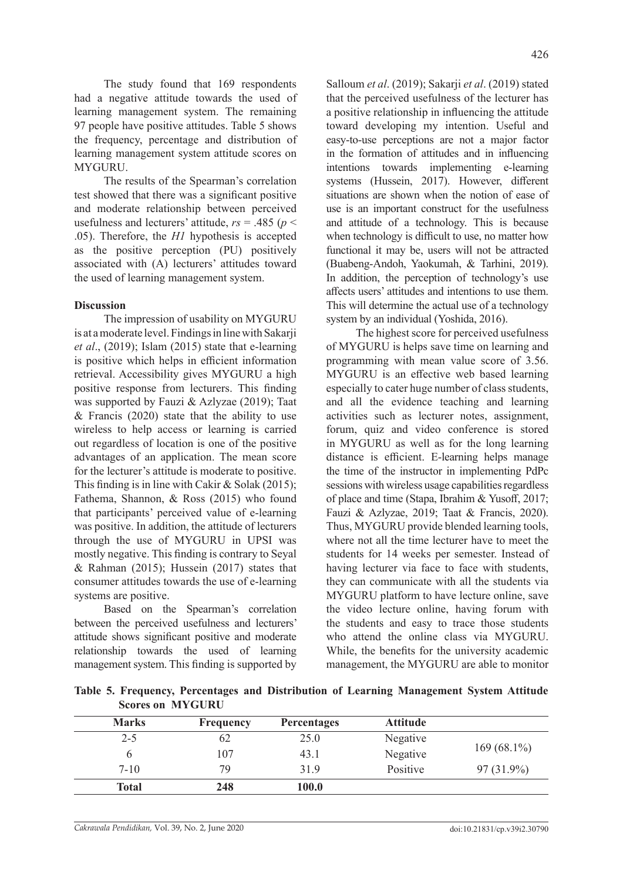The study found that 169 respondents had a negative attitude towards the used of learning management system. The remaining 97 people have positive attitudes. Table 5 shows the frequency, percentage and distribution of learning management system attitude scores on MYGURU.

The results of the Spearman's correlation test showed that there was a significant positive and moderate relationship between perceived usefulness and lecturers' attitude,  $rs = .485$  ( $p <$ .05). Therefore, the *H1* hypothesis is accepted as the positive perception (PU) positively associated with (A) lecturers' attitudes toward the used of learning management system.

### **Discussion**

The impression of usability on MYGURU is at a moderate level. Findings in line with Sakarji *et al*., (2019); Islam (2015) state that e-learning is positive which helps in efficient information retrieval. Accessibility gives MYGURU a high positive response from lecturers. This finding was supported by Fauzi & Azlyzae (2019); Taat  $&$  Francis (2020) state that the ability to use wireless to help access or learning is carried out regardless of location is one of the positive advantages of an application. The mean score for the lecturer's attitude is moderate to positive. This finding is in line with Cakir & Solak (2015); Fathema, Shannon, & Ross (2015) who found that participants' perceived value of e-learning was positive. In addition, the attitude of lecturers through the use of MYGURU in UPSI was mostly negative. This finding is contrary to Seyal & Rahman (2015); Hussein (2017) states that consumer attitudes towards the use of e-learning systems are positive.

Based on the Spearman's correlation between the perceived usefulness and lecturers' attitude shows significant positive and moderate relationship towards the used of learning management system. This finding is supported by Salloum *et al*. (2019); Sakarji *et al*. (2019) stated that the perceived usefulness of the lecturer has a positive relationship in influencing the attitude toward developing my intention. Useful and easy-to-use perceptions are not a major factor in the formation of attitudes and in influencing intentions towards implementing e-learning systems (Hussein, 2017). However, different situations are shown when the notion of ease of use is an important construct for the usefulness and attitude of a technology. This is because when technology is difficult to use, no matter how functional it may be, users will not be attracted (Buabeng-Andoh, Yaokumah, & Tarhini, 2019). In addition, the perception of technology's use affects users' attitudes and intentions to use them. This will determine the actual use of a technology system by an individual (Yoshida, 2016).

The highest score for perceived usefulness of MYGURU is helps save time on learning and programming with mean value score of 3.56. MYGURU is an effective web based learning especially to cater huge number of class students, and all the evidence teaching and learning activities such as lecturer notes, assignment, forum, quiz and video conference is stored in MYGURU as well as for the long learning distance is efficient. E-learning helps manage the time of the instructor in implementing PdPc sessions with wireless usage capabilities regardless of place and time (Stapa, Ibrahim & Yusoff, 2017; Fauzi & Azlyzae, 2019; Taat & Francis, 2020). Thus, MYGURU provide blended learning tools, where not all the time lecturer have to meet the students for 14 weeks per semester. Instead of having lecturer via face to face with students, they can communicate with all the students via MYGURU platform to have lecture online, save the video lecture online, having forum with the students and easy to trace those students who attend the online class via MYGURU. While, the benefits for the university academic management, the MYGURU are able to monitor

**Table 5. Frequency, Percentages and Distribution of Learning Management System Attitude Scores on MYGURU**

| <b>Marks</b> | <b>Frequency</b> | <b>Percentages</b> | <b>Attitude</b> |               |
|--------------|------------------|--------------------|-----------------|---------------|
| $2 - 5$      | 62               | 25.0               | Negative        |               |
|              | 107              | 43.1               | Negative        | $169(68.1\%)$ |
| $7 - 10$     | 79               | 31.9               | Positive        | $97(31.9\%)$  |
| <b>Total</b> | 248              | 100.0              |                 |               |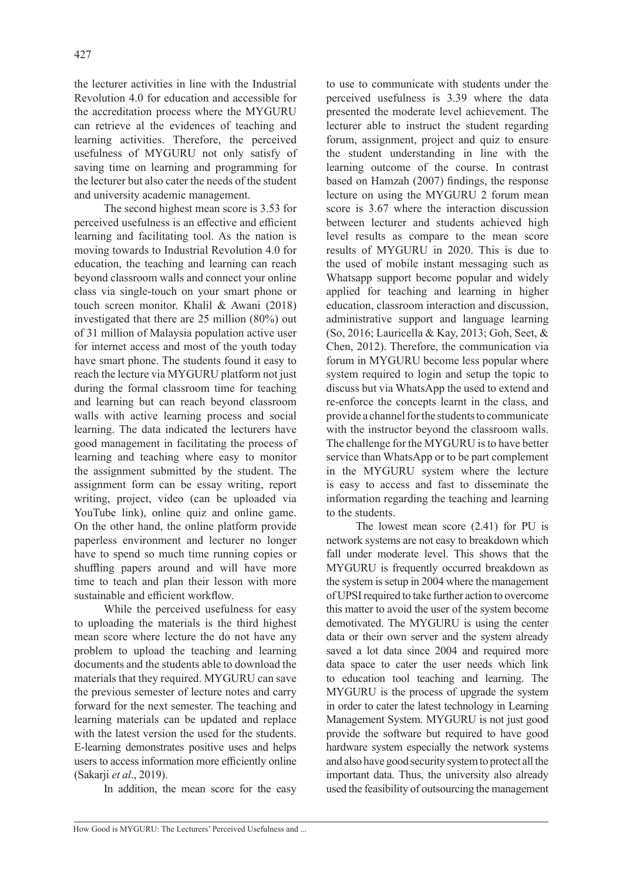the lecturer activities in line with the Industrial Revolution 4.0 for education and accessible for the accreditation process where the MYGURU can retrieve al the evidences of teaching and learning activities. Therefore, the perceived usefulness of MYGURU not only satisfy of saving time on learning and programming for the lecturer but also cater the needs of the student and university academic management.

The second highest mean score is 3.53 for perceived usefulness is an effective and efficient learning and facilitating tool. As the nation is moving towards to Industrial Revolution 4.0 for education, the teaching and learning can reach beyond classroom walls and connect your online class via single-touch on your smart phone or touch screen monitor. Khalil & Awani (2018) investigated that there are 25 million (80%) out of 31 million of Malaysia population active user for internet access and most of the youth today have smart phone. The students found it easy to reach the lecture via MYGURU platform not just during the formal classroom time for teaching and learning but can reach beyond classroom walls with active learning process and social learning. The data indicated the lecturers have good management in facilitating the process of learning and teaching where easy to monitor the assignment submitted by the student. The assignment form can be essay writing, report writing, project, video (can be uploaded via YouTube link), online quiz and online game. On the other hand, the online platform provide paperless environment and lecturer no longer have to spend so much time running copies or shuffling papers around and will have more time to teach and plan their lesson with more sustainable and efficient workflow.

While the perceived usefulness for easy to uploading the materials is the third highest mean score where lecture the do not have any problem to upload the teaching and learning documents and the students able to download the materials that they required. MYGURU can save the previous semester of lecture notes and carry forward for the next semester. The teaching and learning materials can be updated and replace with the latest version the used for the students. E-learning demonstrates positive uses and helps users to access information more efficiently online (Sakarji *et al*., 2019).

In addition, the mean score for the easy

to use to communicate with students under the perceived usefulness is 3.39 where the data presented the moderate level achievement. The lecturer able to instruct the student regarding forum, assignment, project and quiz to ensure the student understanding in line with the learning outcome of the course. In contrast based on Hamzah (2007) findings, the response lecture on using the MYGURU 2 forum mean score is 3.67 where the interaction discussion between lecturer and students achieved high level results as compare to the mean score results of MYGURU in 2020. This is due to the used of mobile instant messaging such as Whatsapp support become popular and widely applied for teaching and learning in higher education, classroom interaction and discussion, administrative support and language learning (So, 2016; Lauricella & Kay, 2013; Goh, Seet, & Chen, 2012). Therefore, the communication via forum in MYGURU become less popular where system required to login and setup the topic to discuss but via WhatsApp the used to extend and re-enforce the concepts learnt in the class, and provide a channel for the students to communicate with the instructor beyond the classroom walls. The challenge for the MYGURU is to have better service than WhatsApp or to be part complement in the MYGURU system where the lecture is easy to access and fast to disseminate the information regarding the teaching and learning to the students.

The lowest mean score (2.41) for PU is network systems are not easy to breakdown which fall under moderate level. This shows that the MYGURU is frequently occurred breakdown as the system is setup in 2004 where the management of UPSI required to take further action to overcome this matter to avoid the user of the system become demotivated. The MYGURU is using the center data or their own server and the system already saved a lot data since 2004 and required more data space to cater the user needs which link to education tool teaching and learning. The MYGURU is the process of upgrade the system in order to cater the latest technology in Learning Management System. MYGURU is not just good provide the software but required to have good hardware system especially the network systems and also have good security system to protect all the important data. Thus, the university also already used the feasibility of outsourcing the management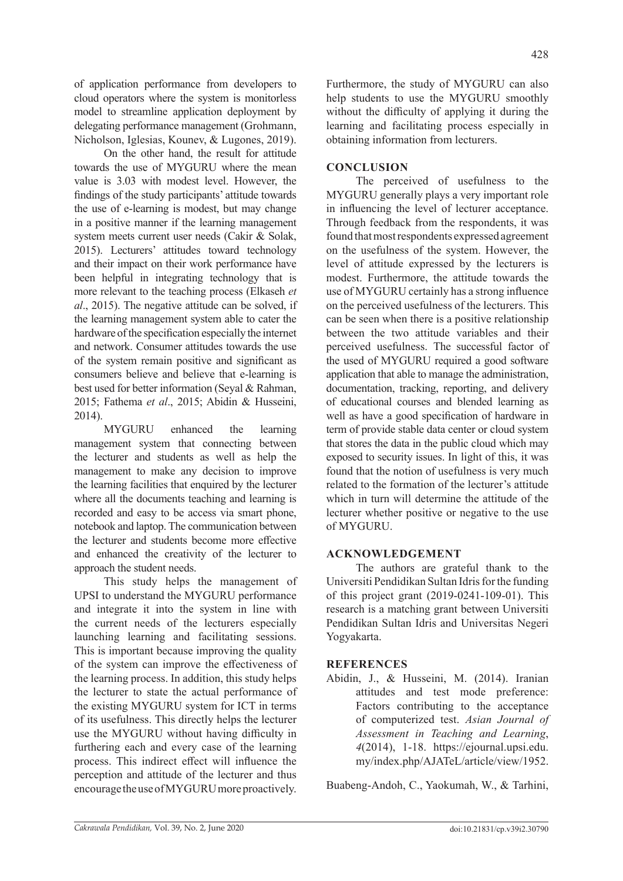of application performance from developers to cloud operators where the system is monitorless model to streamline application deployment by delegating performance management (Grohmann, Nicholson, Iglesias, Kounev, & Lugones, 2019).

On the other hand, the result for attitude towards the use of MYGURU where the mean value is 3.03 with modest level. However, the findings of the study participants' attitude towards the use of e-learning is modest, but may change in a positive manner if the learning management system meets current user needs (Cakir & Solak, 2015). Lecturers' attitudes toward technology and their impact on their work performance have been helpful in integrating technology that is more relevant to the teaching process (Elkaseh *et al*., 2015). The negative attitude can be solved, if the learning management system able to cater the hardware of the specification especially the internet and network. Consumer attitudes towards the use of the system remain positive and significant as consumers believe and believe that e-learning is best used for better information (Seyal & Rahman, 2015; Fathema *et al*., 2015; Abidin & Husseini, 2014).

MYGURU enhanced the learning management system that connecting between the lecturer and students as well as help the management to make any decision to improve the learning facilities that enquired by the lecturer where all the documents teaching and learning is recorded and easy to be access via smart phone, notebook and laptop. The communication between the lecturer and students become more effective and enhanced the creativity of the lecturer to approach the student needs.

This study helps the management of UPSI to understand the MYGURU performance and integrate it into the system in line with the current needs of the lecturers especially launching learning and facilitating sessions. This is important because improving the quality of the system can improve the effectiveness of the learning process. In addition, this study helps the lecturer to state the actual performance of the existing MYGURU system for ICT in terms of its usefulness. This directly helps the lecturer use the MYGURU without having difficulty in furthering each and every case of the learning process. This indirect effect will influence the perception and attitude of the lecturer and thus encourage the use of MYGURU more proactively.

Furthermore, the study of MYGURU can also help students to use the MYGURU smoothly without the difficulty of applying it during the learning and facilitating process especially in obtaining information from lecturers.

## **CONCLUSION**

The perceived of usefulness to the MYGURU generally plays a very important role in influencing the level of lecturer acceptance. Through feedback from the respondents, it was found that most respondents expressed agreement on the usefulness of the system. However, the level of attitude expressed by the lecturers is modest. Furthermore, the attitude towards the use of MYGURU certainly has a strong influence on the perceived usefulness of the lecturers. This can be seen when there is a positive relationship between the two attitude variables and their perceived usefulness. The successful factor of the used of MYGURU required a good software application that able to manage the administration, documentation, tracking, reporting, and delivery of educational courses and blended learning as well as have a good specification of hardware in term of provide stable data center or cloud system that stores the data in the public cloud which may exposed to security issues. In light of this, it was found that the notion of usefulness is very much related to the formation of the lecturer's attitude which in turn will determine the attitude of the lecturer whether positive or negative to the use of MYGURU.

### **ACKNOWLEDGEMENT**

The authors are grateful thank to the Universiti Pendidikan Sultan Idris for the funding of this project grant (2019-0241-109-01). This research is a matching grant between Universiti Pendidikan Sultan Idris and Universitas Negeri Yogyakarta.

### **REFERENCES**

Abidin, J., & Husseini, M. (2014). Iranian attitudes and test mode preference: Factors contributing to the acceptance of computerized test. *Asian Journal of Assessment in Teaching and Learning*, *4*(2014), 1-18. https://ejournal.upsi.edu. my/index.php/AJATeL/article/view/1952.

Buabeng-Andoh, C., Yaokumah, W., & Tarhini,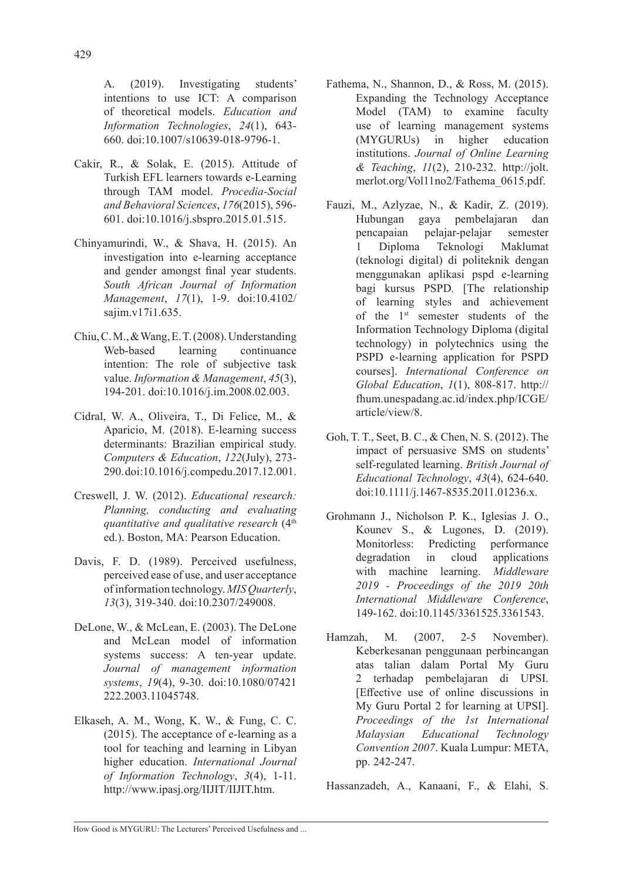A. (2019). Investigating students' intentions to use ICT: A comparison of theoretical models. *Education and Information Technologies*, *24*(1), 643- 660. doi:10.1007/s10639-018-9796-1.

- Cakir, R., & Solak, E. (2015). Attitude of Turkish EFL learners towards e-Learning through TAM model. *Procedia-Social and Behavioral Sciences*, *176*(2015), 596- 601. doi:10.1016/j.sbspro.2015.01.515.
- Chinyamurindi, W., & Shava, H. (2015). An investigation into e-learning acceptance and gender amongst final year students. *South African Journal of Information Management*, *17*(1), 1-9. doi:10.4102/ sajim.v17i1.635.
- Chiu, C. M., & Wang, E. T. (2008). Understanding Web-based learning continuance intention: The role of subjective task value. *Information & Management*, *45*(3), 194-201. doi:10.1016/j.im.2008.02.003.
- Cidral, W. A., Oliveira, T., Di Felice, M., & Aparicio, M. (2018). E-learning success determinants: Brazilian empirical study. *Computers & Education*, *122*(July), 273- 290. doi:10.1016/j.compedu.2017.12.001.
- Creswell, J. W. (2012). *Educational research: Planning, conducting and evaluating quantitative and qualitative research* (4th ed.). Boston, MA: Pearson Education.
- Davis, F. D. (1989). Perceived usefulness, perceived ease of use, and user acceptance of information technology. *MIS Quarterly*, *13*(3), 319-340. doi:10.2307/249008.
- DeLone, W., & McLean, E. (2003). The DeLone and McLean model of information systems success: A ten-year update. *Journal of management information systems*, *19*(4), 9-30. doi:10.1080/07421 222.2003.11045748.
- Elkaseh, A. M., Wong, K. W., & Fung, C. C. (2015). The acceptance of e-learning as a tool for teaching and learning in Libyan higher education. *International Journal of Information Technology*, *3*(4), 1-11. http://www.ipasj.org/IIJIT/IIJIT.htm.
- Fathema, N., Shannon, D., & Ross, M. (2015). Expanding the Technology Acceptance Model (TAM) to examine faculty use of learning management systems (MYGURUs) in higher education institutions. *Journal of Online Learning & Teaching*, *11*(2), 210-232. http://jolt. merlot.org/Vol11no2/Fathema\_0615.pdf.
- Fauzi, M., Azlyzae, N., & Kadir, Z. (2019). Hubungan gaya pembelajaran dan pencapaian pelajar-pelajar semester 1 Diploma Teknologi Maklumat (teknologi digital) di politeknik dengan menggunakan aplikasi pspd e-learning bagi kursus PSPD*.* [The relationship of learning styles and achievement of the 1st semester students of the Information Technology Diploma (digital technology) in polytechnics using the PSPD e-learning application for PSPD courses]. *International Conference on Global Education*, *1*(1), 808-817. http:// fhum.unespadang.ac.id/index.php/ICGE/ article/view/8.
- Goh, T. T., Seet, B. C., & Chen, N. S. (2012). The impact of persuasive SMS on students' self‐regulated learning. *British Journal of Educational Technology*, *43*(4), 624-640. doi:10.1111/j.1467-8535.2011.01236.x.
- Grohmann J., Nicholson P. K., Iglesias J. O., Kounev S., & Lugones, D. (2019). Monitorless: Predicting performance degradation in cloud applications with machine learning. *Middleware 2019 - Proceedings of the 2019 20th International Middleware Conference*, 149-162. doi:10.1145/3361525.3361543.
- Hamzah, M. (2007, 2-5 November). Keberkesanan penggunaan perbincangan atas talian dalam Portal My Guru 2 terhadap pembelajaran di UPSI. [Effective use of online discussions in My Guru Portal 2 for learning at UPSI]. *Proceedings of the 1st International Malaysian Educational Technology Convention 2007*. Kuala Lumpur: META, pp. 242-247.

Hassanzadeh, A., Kanaani, F., & Elahi, S.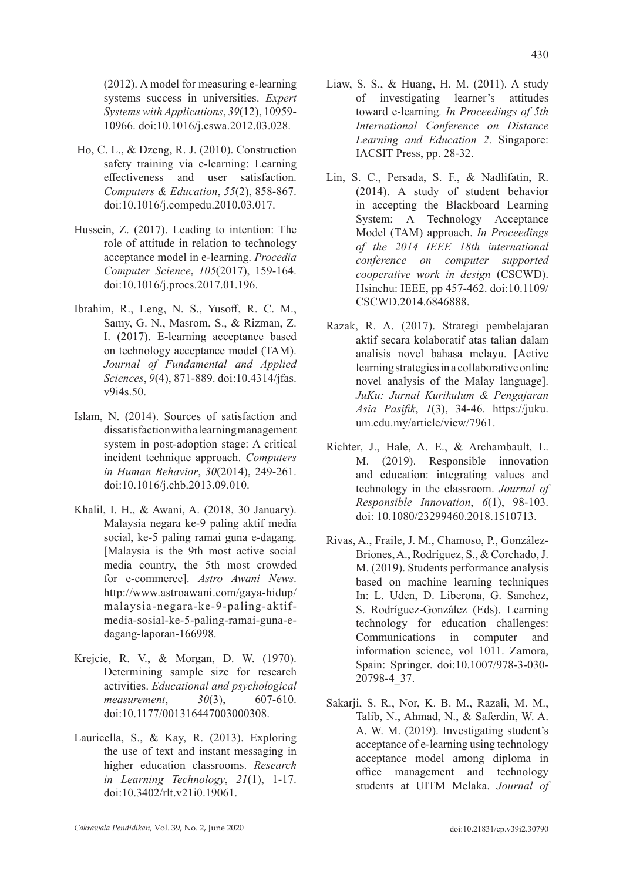(2012). A model for measuring e-learning systems success in universities. *Expert Systems with Applications*, *39*(12), 10959- 10966. doi:10.1016/j.eswa.2012.03.028.

- Ho, C. L., & Dzeng, R. J. (2010). Construction safety training via e-learning: Learning effectiveness and user satisfaction. *Computers & Education*, *55*(2), 858-867. doi:10.1016/j.compedu.2010.03.017.
- Hussein, Z. (2017). Leading to intention: The role of attitude in relation to technology acceptance model in e-learning. *Procedia Computer Science*, *105*(2017), 159-164. doi:10.1016/j.procs.2017.01.196.
- Ibrahim, R., Leng, N. S., Yusoff, R. C. M., Samy, G. N., Masrom, S., & Rizman, Z. I. (2017). E-learning acceptance based on technology acceptance model (TAM). *Journal of Fundamental and Applied Sciences*, *9*(4), 871-889. doi:10.4314/jfas. v9i4s.50.
- Islam, N. (2014). Sources of satisfaction and dissatisfaction with a learning management system in post-adoption stage: A critical incident technique approach. *Computers in Human Behavior*, *30*(2014), 249-261. doi:10.1016/j.chb.2013.09.010.
- Khalil, I. H., & Awani, A. (2018, 30 January). Malaysia negara ke-9 paling aktif media social, ke-5 paling ramai guna e-dagang. [Malaysia is the 9th most active social media country, the 5th most crowded for e-commerce]. *Astro Awani News*. http://www.astroawani.com/gaya-hidup/ malaysia-negara-ke-9-paling-aktifmedia-sosial-ke-5-paling-ramai-guna-edagang-laporan-166998.
- Krejcie, R. V., & Morgan, D. W. (1970). Determining sample size for research activities. *Educational and psychological measurement*, *30*(3), 607-610. doi:10.1177/001316447003000308.
- Lauricella, S., & Kay, R. (2013). Exploring the use of text and instant messaging in higher education classrooms. *Research in Learning Technology*, *21*(1), 1-17. doi:10.3402/rlt.v21i0.19061.
- Liaw, S. S., & Huang, H. M. (2011). A study of investigating learner's attitudes toward e-learning*. In Proceedings of 5th International Conference on Distance Learning and Education 2*. Singapore: IACSIT Press, pp. 28-32.
- Lin, S. C., Persada, S. F., & Nadlifatin, R. (2014). A study of student behavior in accepting the Blackboard Learning System: A Technology Acceptance Model (TAM) approach. *In Proceedings of the 2014 IEEE 18th international conference on computer supported cooperative work in design* (CSCWD). Hsinchu: IEEE, pp 457-462. doi:10.1109/ CSCWD.2014.6846888.
- Razak, R. A. (2017). Strategi pembelajaran aktif secara kolaboratif atas talian dalam analisis novel bahasa melayu. [Active learning strategies in a collaborative online novel analysis of the Malay language]. *JuKu: Jurnal Kurikulum & Pengajaran Asia Pasifik*, *1*(3), 34-46. https://juku. um.edu.my/article/view/7961.
- Richter, J., Hale, A. E., & Archambault, L. M. (2019). Responsible innovation and education: integrating values and technology in the classroom. *Journal of Responsible Innovation*, *6*(1), 98-103. doi: 10.1080/23299460.2018.1510713.
- Rivas, A., Fraile, J. M., Chamoso, P., González-Briones, A., Rodríguez, S., & Corchado, J. M. (2019). Students performance analysis based on machine learning techniques In: L. Uden, D. Liberona, G. Sanchez, S. Rodríguez-González (Eds). Learning technology for education challenges: Communications in computer and information science, vol 1011. Zamora, Spain: Springer. doi:10.1007/978-3-030- 20798-4\_37.
- Sakarji, S. R., Nor, K. B. M., Razali, M. M., Talib, N., Ahmad, N., & Saferdin, W. A. A. W. M. (2019). Investigating student's acceptance of e-learning using technology acceptance model among diploma in office management and technology students at UITM Melaka. *Journal of*